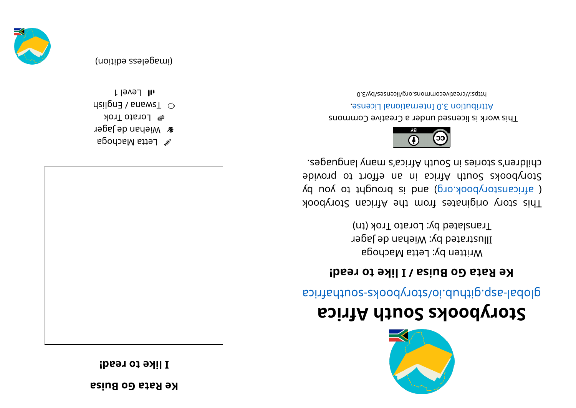**Re Rata Go Buisa** 

**! daer ot ekil I**



- $\mathscr{C}$  Letta Machoga
- *a* Miehan de Jager
- **B** Lorato Trok
- dsil gnad / sns were  $\mathbb{C}^3$ l level 1

(imageless edition)



## **storybooks South Africa**

aci ri re abologic pri predsie sy ood vot south and a signal as

#### **Reara Go Buisa** / **I** like to read!

Written by: Letta Machoga Illustrated by: Wiehan de Jager Translated by: Lorato Trok (tn)

This story originates from the African Storybook ( africanstorybook.org) and is brought to you by Storybooks South Africa in an effort to provide . segaugnal ynam a' south A frica's dyn acheid.



This work is licensed under a Creative Commons . esnecial lanoit anternational License.

0. E\\d\zesnecil\pro. 2nommons.org/licenses/by/3.0

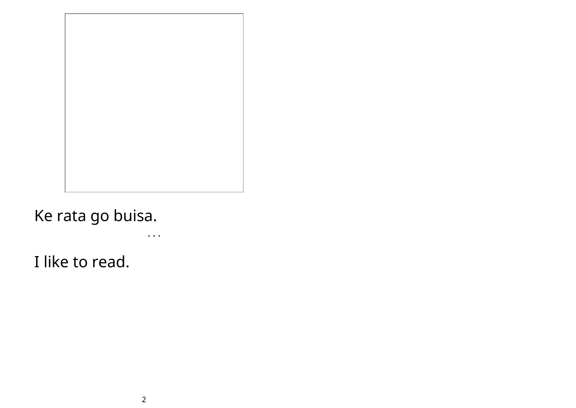### Ke rata go buisa.

• • •

I like to read.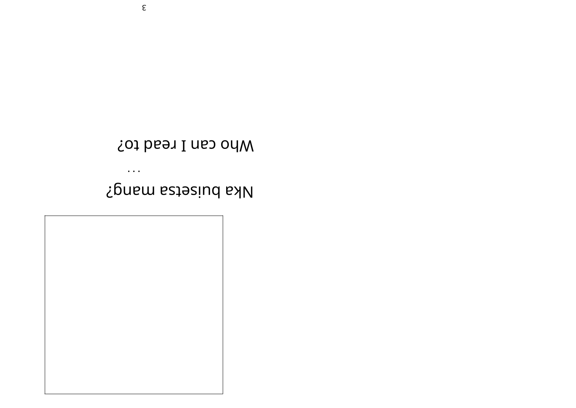

 $\bullet$   $\bullet$   $\bullet$ 

## Nka pniserza waud¿

Mho can I read to?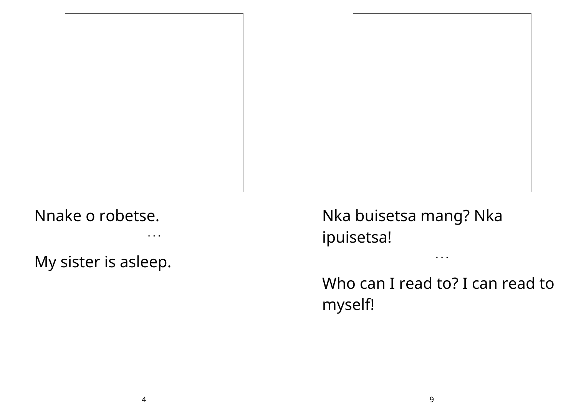

• • •

My sister is asleep.



Who can I read to? I can read to myself!

• • •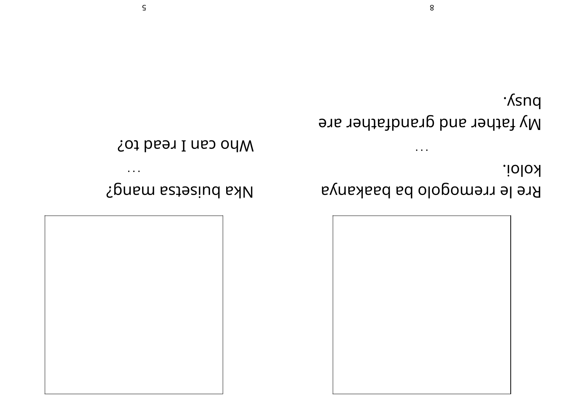

# Nka pnizerza wavd¿

#### **Mho can I read to?**

koloi. Rre le rremogolo ba baakanya

·*Ksnq* My father and grandfather are

 $\ddot{\phantom{a}}$ 

 $\bullet$   $\bullet$   $\bullet$